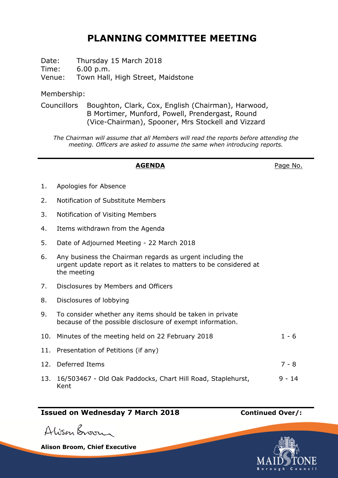# **PLANNING COMMITTEE MEETING**

Date: Thursday 15 March 2018 Time: 6.00 p.m. Venue: Town Hall, High Street, Maidstone

Membership:

Councillors Boughton, Clark, Cox, English (Chairman), Harwood, B Mortimer, Munford, Powell, Prendergast, Round (Vice-Chairman), Spooner, Mrs Stockell and Vizzard

*The Chairman will assume that all Members will read the reports before attending the meeting. Officers are asked to assume the same when introducing reports.*

## **AGENDA** Page No.

- 1. Apologies for Absence
- 2. Notification of Substitute Members
- 3. Notification of Visiting Members
- 4. Items withdrawn from the Agenda
- 5. Date of Adjourned Meeting 22 March 2018
- 6. Any business the Chairman regards as urgent including the urgent update report as it relates to matters to be considered at the meeting
- 7. Disclosures by Members and Officers
- 8. Disclosures of lobbying
- 9. To consider whether any items should be taken in private because of the possible disclosure of exempt information.

| 10. Minutes of the meeting held on 22 February 2018                     | $1 - 6$  |
|-------------------------------------------------------------------------|----------|
| 11. Presentation of Petitions (if any)                                  |          |
| 12. Deferred Items                                                      | 7 - 8    |
| 13. 16/503467 - Old Oak Paddocks, Chart Hill Road, Staplehurst,<br>Kent | $9 - 14$ |

# **Issued on Wednesday 7 March 2018 Continued Over/:**

Alison Broom

**Alison Broom, Chief Executive**